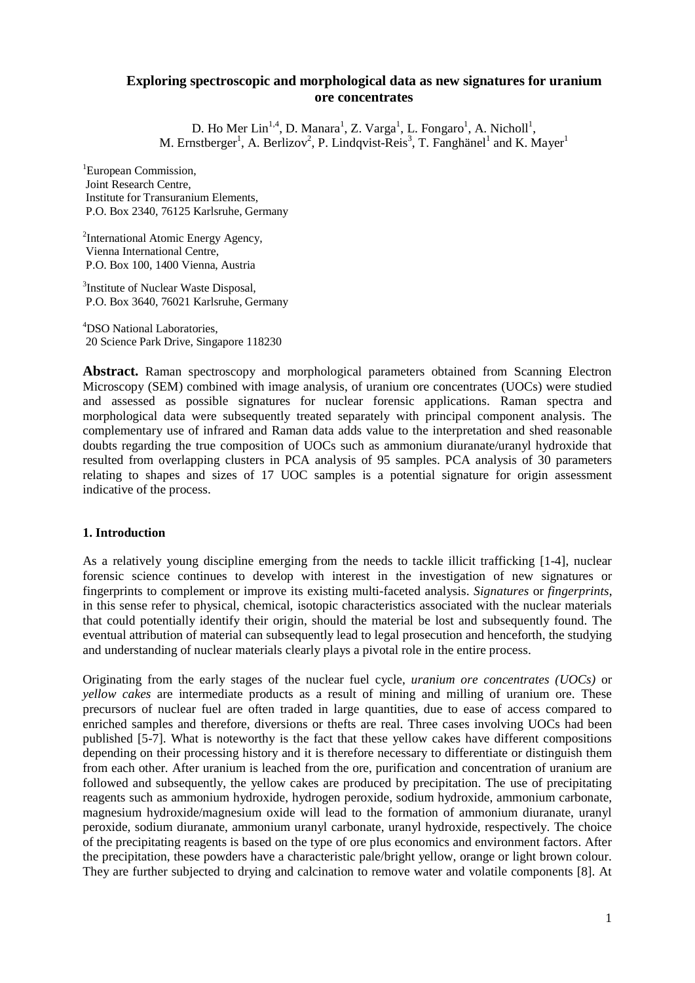## **Exploring spectroscopic and morphological data as new signatures for uranium ore concentrates**

D. Ho Mer Lin<sup>1,4</sup>, D. Manara<sup>1</sup>, Z. Varga<sup>1</sup>, L. Fongaro<sup>1</sup>, A. Nicholl<sup>1</sup>, M. Ernstberger<sup>1</sup>, A. Berlizov<sup>2</sup>, P. Lindqvist-Reis<sup>3</sup>, T. Fanghänel<sup>1</sup> and K. Mayer<sup>1</sup>

<sup>1</sup>European Commission, Joint Research Centre, Institute for Transuranium Elements, P.O. Box 2340, 76125 Karlsruhe, Germany

<sup>2</sup>International Atomic Energy Agency, Vienna International Centre, P.O. Box 100, 1400 Vienna, Austria

<sup>3</sup>Institute of Nuclear Waste Disposal, P.O. Box 3640, 76021 Karlsruhe, Germany

4 DSO National Laboratories, 20 Science Park Drive, Singapore 118230

**Abstract.** Raman spectroscopy and morphological parameters obtained from Scanning Electron Microscopy (SEM) combined with image analysis, of uranium ore concentrates (UOCs) were studied and assessed as possible signatures for nuclear forensic applications. Raman spectra and morphological data were subsequently treated separately with principal component analysis. The complementary use of infrared and Raman data adds value to the interpretation and shed reasonable doubts regarding the true composition of UOCs such as ammonium diuranate/uranyl hydroxide that resulted from overlapping clusters in PCA analysis of 95 samples. PCA analysis of 30 parameters relating to shapes and sizes of 17 UOC samples is a potential signature for origin assessment indicative of the process.

#### **1. Introduction**

As a relatively young discipline emerging from the needs to tackle illicit trafficking [1-4], nuclear forensic science continues to develop with interest in the investigation of new signatures or fingerprints to complement or improve its existing multi-faceted analysis. *Signatures* or *fingerprints*, in this sense refer to physical, chemical, isotopic characteristics associated with the nuclear materials that could potentially identify their origin, should the material be lost and subsequently found. The eventual attribution of material can subsequently lead to legal prosecution and henceforth, the studying and understanding of nuclear materials clearly plays a pivotal role in the entire process.

Originating from the early stages of the nuclear fuel cycle, *uranium ore concentrates (UOCs)* or *yellow cakes* are intermediate products as a result of mining and milling of uranium ore. These precursors of nuclear fuel are often traded in large quantities, due to ease of access compared to enriched samples and therefore, diversions or thefts are real. Three cases involving UOCs had been published [5-7]. What is noteworthy is the fact that these yellow cakes have different compositions depending on their processing history and it is therefore necessary to differentiate or distinguish them from each other. After uranium is leached from the ore, purification and concentration of uranium are followed and subsequently, the yellow cakes are produced by precipitation. The use of precipitating reagents such as ammonium hydroxide, hydrogen peroxide, sodium hydroxide, ammonium carbonate, magnesium hydroxide/magnesium oxide will lead to the formation of ammonium diuranate, uranyl peroxide, sodium diuranate, ammonium uranyl carbonate, uranyl hydroxide, respectively. The choice of the precipitating reagents is based on the type of ore plus economics and environment factors. After the precipitation, these powders have a characteristic pale/bright yellow, orange or light brown colour. They are further subjected to drying and calcination to remove water and volatile components [8]. At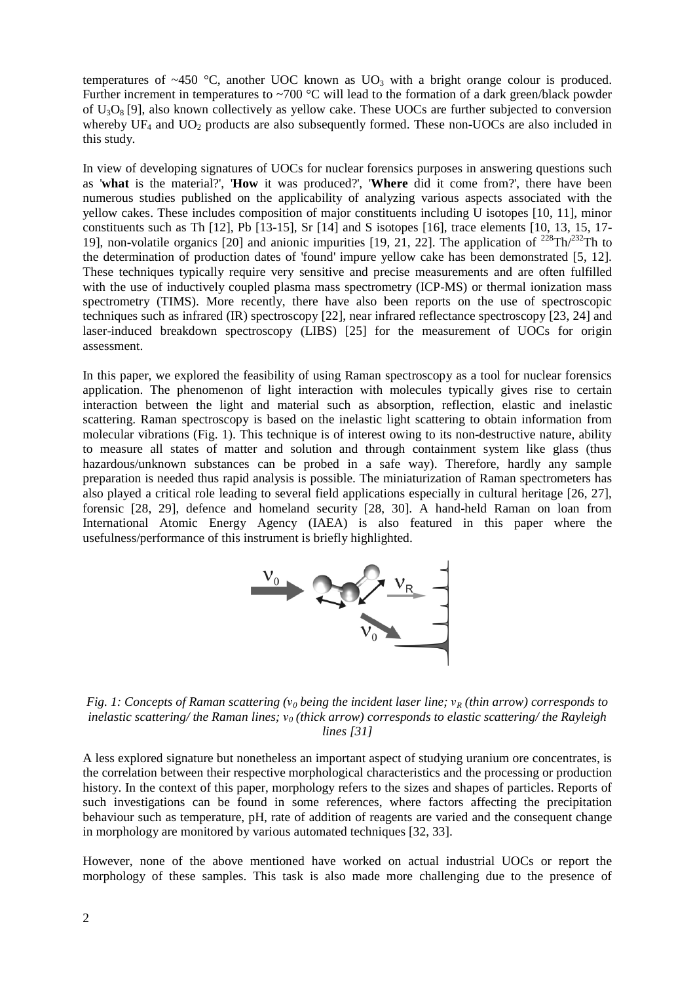temperatures of ~450 °C, another UOC known as  $UO_3$  with a bright orange colour is produced. Further increment in temperatures to  $\sim$ 700 °C will lead to the formation of a dark green/black powder of  $U_3O_8$  [9], also known collectively as yellow cake. These UOCs are further subjected to conversion whereby  $UF_4$  and  $UO_2$  products are also subsequently formed. These non-UOCs are also included in this study.

In view of developing signatures of UOCs for nuclear forensics purposes in answering questions such as '**what** is the material?', '**How** it was produced?', '**Where** did it come from?', there have been numerous studies published on the applicability of analyzing various aspects associated with the yellow cakes. These includes composition of major constituents including U isotopes [10, 11], minor constituents such as Th  $[12]$ , Pb  $[13-15]$ , Sr  $[14]$  and S isotopes  $[16]$ , trace elements  $[10, 13, 15, 17-$ 19], non-volatile organics [20] and anionic impurities [19, 21, 22]. The application of <sup>228</sup>Th/<sup>232</sup>Th to the determination of production dates of 'found' impure yellow cake has been demonstrated [5, 12]. These techniques typically require very sensitive and precise measurements and are often fulfilled with the use of inductively coupled plasma mass spectrometry (ICP-MS) or thermal ionization mass spectrometry (TIMS). More recently, there have also been reports on the use of spectroscopic techniques such as infrared (IR) spectroscopy [22], near infrared reflectance spectroscopy [23, 24] and laser-induced breakdown spectroscopy (LIBS) [25] for the measurement of UOCs for origin assessment.

In this paper, we explored the feasibility of using Raman spectroscopy as a tool for nuclear forensics application. The phenomenon of light interaction with molecules typically gives rise to certain interaction between the light and material such as absorption, reflection, elastic and inelastic scattering. Raman spectroscopy is based on the inelastic light scattering to obtain information from molecular vibrations (Fig. 1). This technique is of interest owing to its non-destructive nature, ability to measure all states of matter and solution and through containment system like glass (thus hazardous/unknown substances can be probed in a safe way). Therefore, hardly any sample preparation is needed thus rapid analysis is possible. The miniaturization of Raman spectrometers has also played a critical role leading to several field applications especially in cultural heritage [26, 27], forensic [28, 29], defence and homeland security [28, 30]. A hand-held Raman on loan from International Atomic Energy Agency (IAEA) is also featured in this paper where the usefulness/performance of this instrument is briefly highlighted.



*Fig. 1: Concepts of Raman scattering (*ν*0 being the incident laser line;* ν*R (thin arrow) corresponds to inelastic scattering/ the Raman lines;* ν*0 (thick arrow) corresponds to elastic scattering/ the Rayleigh lines [31]* 

A less explored signature but nonetheless an important aspect of studying uranium ore concentrates, is the correlation between their respective morphological characteristics and the processing or production history. In the context of this paper, morphology refers to the sizes and shapes of particles. Reports of such investigations can be found in some references, where factors affecting the precipitation behaviour such as temperature, pH, rate of addition of reagents are varied and the consequent change in morphology are monitored by various automated techniques [32, 33].

However, none of the above mentioned have worked on actual industrial UOCs or report the morphology of these samples. This task is also made more challenging due to the presence of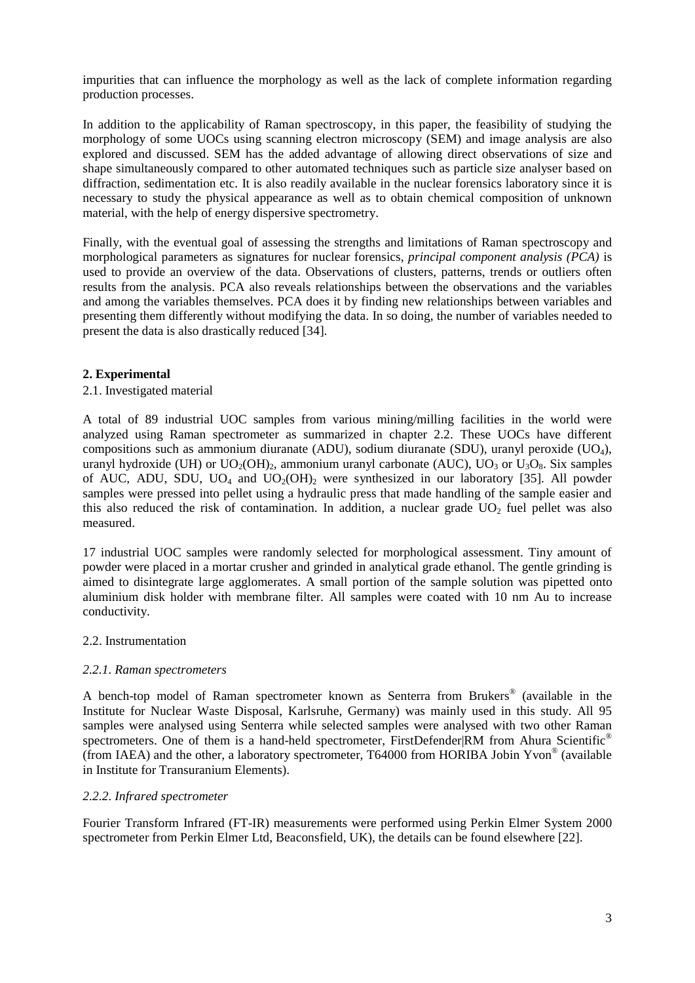impurities that can influence the morphology as well as the lack of complete information regarding production processes.

In addition to the applicability of Raman spectroscopy, in this paper, the feasibility of studying the morphology of some UOCs using scanning electron microscopy (SEM) and image analysis are also explored and discussed. SEM has the added advantage of allowing direct observations of size and shape simultaneously compared to other automated techniques such as particle size analyser based on diffraction, sedimentation etc. It is also readily available in the nuclear forensics laboratory since it is necessary to study the physical appearance as well as to obtain chemical composition of unknown material, with the help of energy dispersive spectrometry.

Finally, with the eventual goal of assessing the strengths and limitations of Raman spectroscopy and morphological parameters as signatures for nuclear forensics, *principal component analysis (PCA)* is used to provide an overview of the data. Observations of clusters, patterns, trends or outliers often results from the analysis. PCA also reveals relationships between the observations and the variables and among the variables themselves. PCA does it by finding new relationships between variables and presenting them differently without modifying the data. In so doing, the number of variables needed to present the data is also drastically reduced [34].

# **2. Experimental**

# 2.1. Investigated material

A total of 89 industrial UOC samples from various mining/milling facilities in the world were analyzed using Raman spectrometer as summarized in chapter 2.2. These UOCs have different compositions such as ammonium diuranate (ADU), sodium diuranate (SDU), uranyl peroxide (UO4), uranyl hydroxide (UH) or  $UO_2(OH)_2$ , ammonium uranyl carbonate (AUC),  $UO_3$  or  $U_3O_8$ . Six samples of AUC, ADU, SDU, UO<sub>4</sub> and UO<sub>2</sub>(OH)<sub>2</sub> were synthesized in our laboratory [35]. All powder samples were pressed into pellet using a hydraulic press that made handling of the sample easier and this also reduced the risk of contamination. In addition, a nuclear grade  $UO<sub>2</sub>$  fuel pellet was also measured.

17 industrial UOC samples were randomly selected for morphological assessment. Tiny amount of powder were placed in a mortar crusher and grinded in analytical grade ethanol. The gentle grinding is aimed to disintegrate large agglomerates. A small portion of the sample solution was pipetted onto aluminium disk holder with membrane filter. All samples were coated with 10 nm Au to increase conductivity.

## 2.2. Instrumentation

## *2.2.1. Raman spectrometers*

A bench-top model of Raman spectrometer known as Senterra from Brukers® (available in the Institute for Nuclear Waste Disposal, Karlsruhe, Germany) was mainly used in this study. All 95 samples were analysed using Senterra while selected samples were analysed with two other Raman spectrometers. One of them is a hand-held spectrometer, FirstDefender|RM from Ahura Scientific<sup>®</sup> (from IAEA) and the other, a laboratory spectrometer, T64000 from HORIBA Jobin Yvon® (available in Institute for Transuranium Elements).

## *2.2.2. Infrared spectrometer*

Fourier Transform Infrared (FT-IR) measurements were performed using Perkin Elmer System 2000 spectrometer from Perkin Elmer Ltd, Beaconsfield, UK), the details can be found elsewhere [22].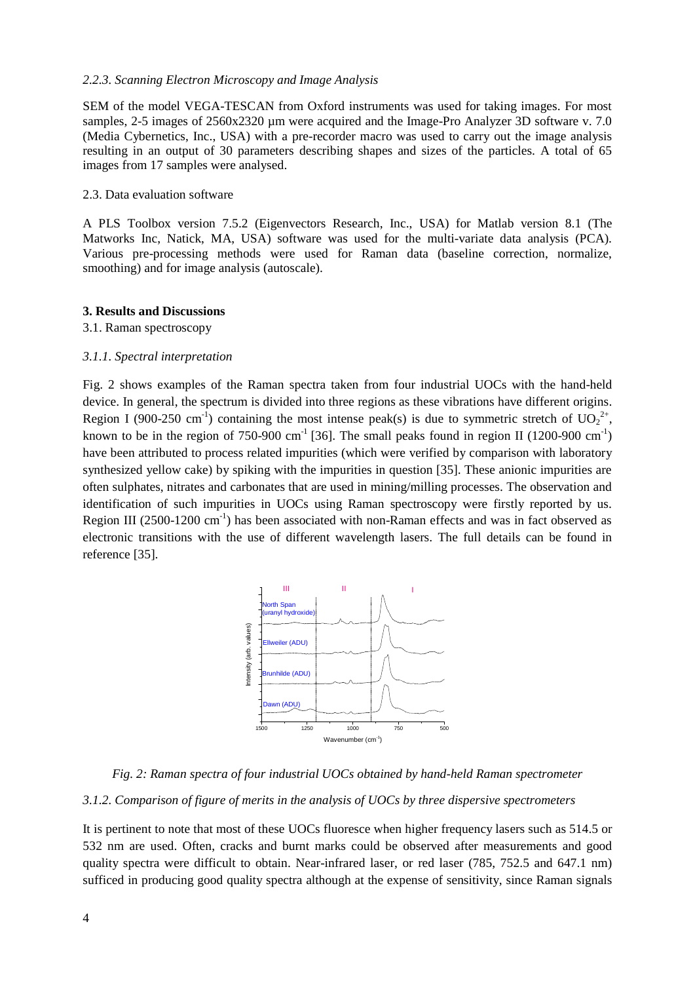# *2.2.3. Scanning Electron Microscopy and Image Analysis*

SEM of the model VEGA-TESCAN from Oxford instruments was used for taking images. For most samples, 2-5 images of 2560x2320 µm were acquired and the Image-Pro Analyzer 3D software v. 7.0 (Media Cybernetics, Inc., USA) with a pre-recorder macro was used to carry out the image analysis resulting in an output of 30 parameters describing shapes and sizes of the particles. A total of 65 images from 17 samples were analysed.

#### 2.3. Data evaluation software

A PLS Toolbox version 7.5.2 (Eigenvectors Research, Inc., USA) for Matlab version 8.1 (The Matworks Inc, Natick, MA, USA) software was used for the multi-variate data analysis (PCA). Various pre-processing methods were used for Raman data (baseline correction, normalize, smoothing) and for image analysis (autoscale).

## **3. Results and Discussions**

#### 3.1. Raman spectroscopy

## *3.1.1. Spectral interpretation*

Fig. 2 shows examples of the Raman spectra taken from four industrial UOCs with the hand-held device. In general, the spectrum is divided into three regions as these vibrations have different origins. Region I (900-250 cm<sup>-1</sup>) containing the most intense peak(s) is due to symmetric stretch of  $UO_2^{2+}$ , known to be in the region of 750-900 cm<sup>-1</sup> [36]. The small peaks found in region II (1200-900 cm<sup>-1</sup>) have been attributed to process related impurities (which were verified by comparison with laboratory synthesized yellow cake) by spiking with the impurities in question [35]. These anionic impurities are often sulphates, nitrates and carbonates that are used in mining/milling processes. The observation and identification of such impurities in UOCs using Raman spectroscopy were firstly reported by us. Region III (2500-1200  $\text{cm}^{-1}$ ) has been associated with non-Raman effects and was in fact observed as electronic transitions with the use of different wavelength lasers. The full details can be found in reference [35].



*Fig. 2: Raman spectra of four industrial UOCs obtained by hand-held Raman spectrometer* 

#### *3.1.2. Comparison of figure of merits in the analysis of UOCs by three dispersive spectrometers*

It is pertinent to note that most of these UOCs fluoresce when higher frequency lasers such as 514.5 or 532 nm are used. Often, cracks and burnt marks could be observed after measurements and good quality spectra were difficult to obtain. Near-infrared laser, or red laser (785, 752.5 and 647.1 nm) sufficed in producing good quality spectra although at the expense of sensitivity, since Raman signals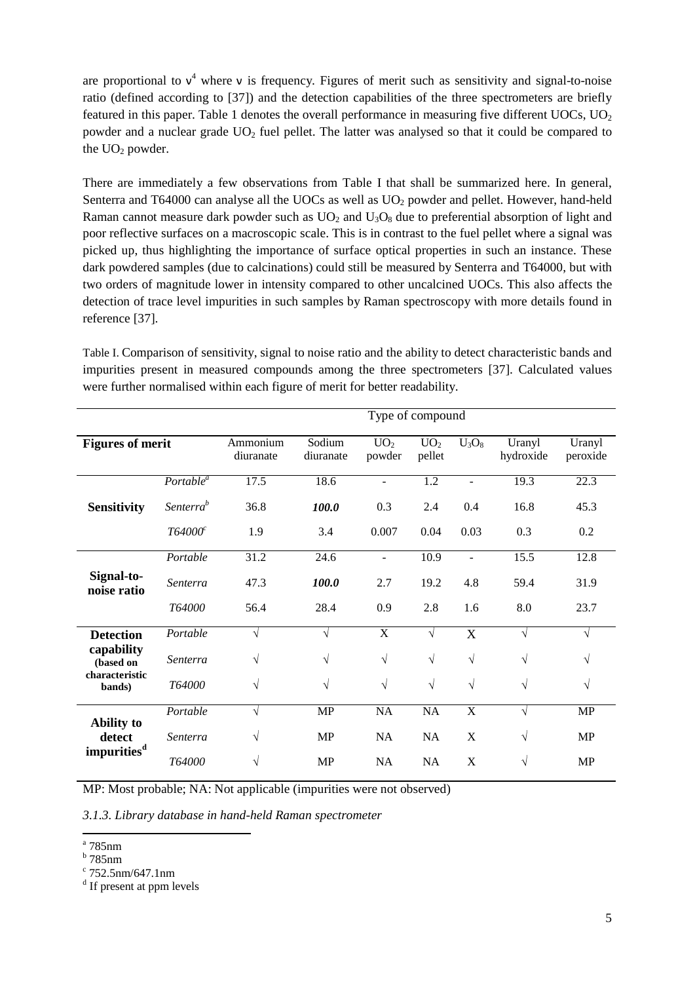are proportional to  $v^4$  where v is frequency. Figures of merit such as sensitivity and signal-to-noise ratio (defined according to [37]) and the detection capabilities of the three spectrometers are briefly featured in this paper. Table 1 denotes the overall performance in measuring five different UOCs, UO<sub>2</sub> powder and a nuclear grade UO<sub>2</sub> fuel pellet. The latter was analysed so that it could be compared to the  $UO<sub>2</sub>$  powder.

There are immediately a few observations from Table I that shall be summarized here. In general, Senterra and T64000 can analyse all the UOCs as well as UO<sub>2</sub> powder and pellet. However, hand-held Raman cannot measure dark powder such as  $UO<sub>2</sub>$  and  $U<sub>3</sub>O<sub>8</sub>$  due to preferential absorption of light and poor reflective surfaces on a macroscopic scale. This is in contrast to the fuel pellet where a signal was picked up, thus highlighting the importance of surface optical properties in such an instance. These dark powdered samples (due to calcinations) could still be measured by Senterra and T64000, but with two orders of magnitude lower in intensity compared to other uncalcined UOCs. This also affects the detection of trace level impurities in such samples by Raman spectroscopy with more details found in reference [37].

Table I. Comparison of sensitivity, signal to noise ratio and the ability to detect characteristic bands and impurities present in measured compounds among the three spectrometers [37]. Calculated values were further normalised within each figure of merit for better readability.

|                                                                         |                       | Type of compound      |                     |                           |                           |                  |                     |                    |
|-------------------------------------------------------------------------|-----------------------|-----------------------|---------------------|---------------------------|---------------------------|------------------|---------------------|--------------------|
| <b>Figures of merit</b>                                                 |                       | Ammonium<br>diuranate | Sodium<br>diuranate | UO <sub>2</sub><br>powder | UO <sub>2</sub><br>pellet | $U_3O_8$         | Uranyl<br>hydroxide | Uranyl<br>peroxide |
| <b>Sensitivity</b>                                                      | Portable <sup>a</sup> | 17.5                  | 18.6                | $\overline{a}$            | 1.2                       | $\overline{a}$   | 19.3                | 22.3               |
|                                                                         | Senterra <sup>b</sup> | 36.8                  | 100.0               | 0.3                       | 2.4                       | 0.4              | 16.8                | 45.3               |
|                                                                         | T64000 <sup>c</sup>   | 1.9                   | 3.4                 | 0.007                     | 0.04                      | 0.03             | 0.3                 | 0.2                |
| Signal-to-<br>noise ratio                                               | Portable              | 31.2                  | 24.6                | $\overline{a}$            | 10.9                      | $\overline{a}$   | 15.5                | 12.8               |
|                                                                         | Senterra              | 47.3                  | 100.0               | 2.7                       | 19.2                      | 4.8              | 59.4                | 31.9               |
|                                                                         | T64000                | 56.4                  | 28.4                | 0.9                       | 2.8                       | 1.6              | 8.0                 | 23.7               |
| <b>Detection</b><br>capability<br>(based on<br>characteristic<br>bands) | Portable              | V                     | $\sqrt{ }$          | X                         | $\sqrt{}$                 | $\boldsymbol{X}$ | $\sqrt{ }$          | $\sqrt{ }$         |
|                                                                         | Senterra              | $\sqrt{}$             | $\sqrt{}$           | $\sqrt{}$                 | $\sqrt{}$                 | $\sqrt{ }$       | $\sqrt{}$           | $\sqrt{ }$         |
|                                                                         | T64000                | $\sqrt{ }$            | $\sqrt{}$           | $\sqrt{}$                 | $\sqrt{}$                 | $\sqrt{ }$       | $\sqrt{}$           | $\sqrt{ }$         |
| <b>Ability to</b><br>detect<br>impurities <sup>d</sup>                  | Portable              | $\sqrt{ }$            | <b>MP</b>           | NA                        | NA                        | X                | $\sqrt{}$           | <b>MP</b>          |
|                                                                         | Senterra              | V                     | <b>MP</b>           | <b>NA</b>                 | NA                        | X                | $\sqrt{ }$          | MP                 |
|                                                                         | T64000                | $\sqrt{}$             | <b>MP</b>           | NA                        | NA                        | X                | $\sqrt{}$           | <b>MP</b>          |

MP: Most probable; NA: Not applicable (impurities were not observed)

*3.1.3. Library database in hand-held Raman spectrometer* 

 a 785nm

b 785nm

 $\frac{c}{752.5}$ nm/647.1nm

<sup>&</sup>lt;sup>d</sup> If present at ppm levels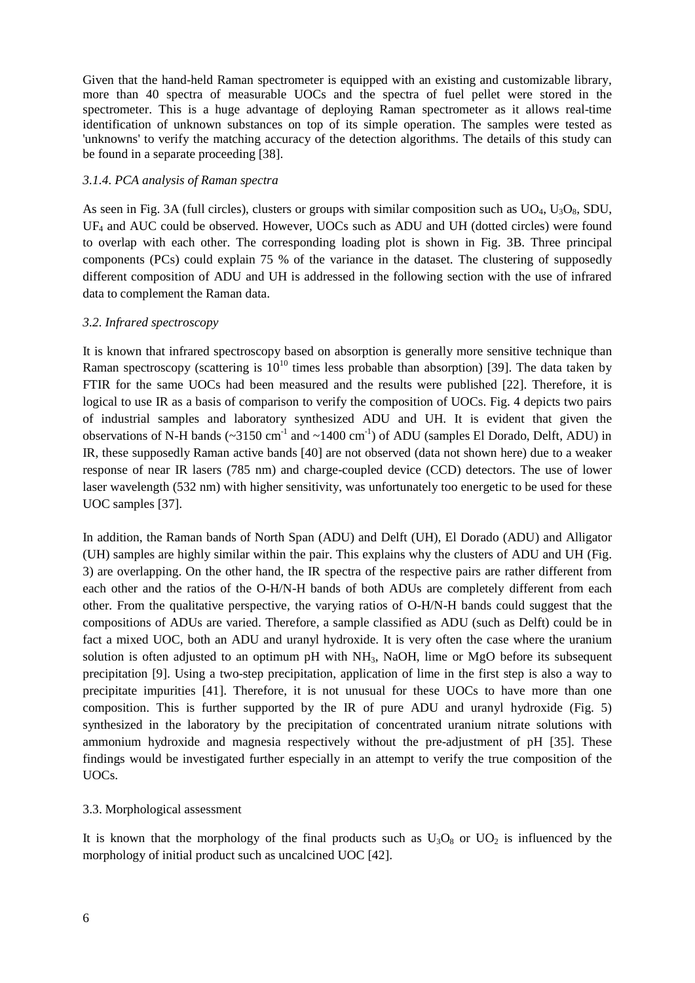Given that the hand-held Raman spectrometer is equipped with an existing and customizable library, more than 40 spectra of measurable UOCs and the spectra of fuel pellet were stored in the spectrometer. This is a huge advantage of deploying Raman spectrometer as it allows real-time identification of unknown substances on top of its simple operation. The samples were tested as 'unknowns' to verify the matching accuracy of the detection algorithms. The details of this study can be found in a separate proceeding [38].

## *3.1.4. PCA analysis of Raman spectra*

As seen in Fig. 3A (full circles), clusters or groups with similar composition such as  $UO<sub>4</sub>, U<sub>3</sub>O<sub>8</sub>$ , SDU, UF<sub>4</sub> and AUC could be observed. However, UOCs such as ADU and UH (dotted circles) were found to overlap with each other. The corresponding loading plot is shown in Fig. 3B. Three principal components (PCs) could explain 75 % of the variance in the dataset. The clustering of supposedly different composition of ADU and UH is addressed in the following section with the use of infrared data to complement the Raman data.

# *3.2. Infrared spectroscopy*

It is known that infrared spectroscopy based on absorption is generally more sensitive technique than Raman spectroscopy (scattering is  $10^{10}$  times less probable than absorption) [39]. The data taken by FTIR for the same UOCs had been measured and the results were published [22]. Therefore, it is logical to use IR as a basis of comparison to verify the composition of UOCs. Fig. 4 depicts two pairs of industrial samples and laboratory synthesized ADU and UH. It is evident that given the observations of N-H bands ( $\sim$ 3150 cm<sup>-1</sup> and  $\sim$ 1400 cm<sup>-1</sup>) of ADU (samples El Dorado, Delft, ADU) in IR, these supposedly Raman active bands [40] are not observed (data not shown here) due to a weaker response of near IR lasers (785 nm) and charge-coupled device (CCD) detectors. The use of lower laser wavelength (532 nm) with higher sensitivity, was unfortunately too energetic to be used for these UOC samples [37].

In addition, the Raman bands of North Span (ADU) and Delft (UH), El Dorado (ADU) and Alligator (UH) samples are highly similar within the pair. This explains why the clusters of ADU and UH (Fig. 3) are overlapping. On the other hand, the IR spectra of the respective pairs are rather different from each other and the ratios of the O-H/N-H bands of both ADUs are completely different from each other. From the qualitative perspective, the varying ratios of O-H/N-H bands could suggest that the compositions of ADUs are varied. Therefore, a sample classified as ADU (such as Delft) could be in fact a mixed UOC, both an ADU and uranyl hydroxide. It is very often the case where the uranium solution is often adjusted to an optimum pH with NH<sub>3</sub>, NaOH, lime or MgO before its subsequent precipitation [9]. Using a two-step precipitation, application of lime in the first step is also a way to precipitate impurities [41]. Therefore, it is not unusual for these UOCs to have more than one composition. This is further supported by the IR of pure ADU and uranyl hydroxide (Fig. 5) synthesized in the laboratory by the precipitation of concentrated uranium nitrate solutions with ammonium hydroxide and magnesia respectively without the pre-adjustment of pH [35]. These findings would be investigated further especially in an attempt to verify the true composition of the UOCs.

# 3.3. Morphological assessment

It is known that the morphology of the final products such as  $U_3O_8$  or  $UO_2$  is influenced by the morphology of initial product such as uncalcined UOC [42].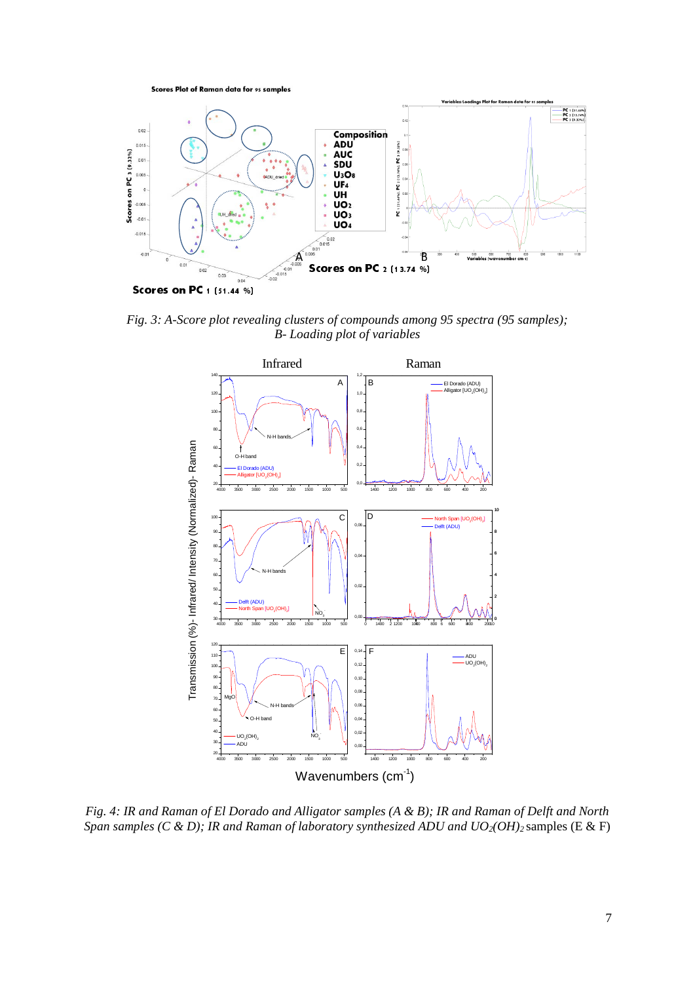**Scores Plot of Raman data for 95 samples** 



Scores on PC 1 (51.44 %)

*Fig. 3: A-Score plot revealing clusters of compounds among 95 spectra (95 samples); B- Loading plot of variables* 



*Fig. 4: IR and Raman of El Dorado and Alligator samples (A & B); IR and Raman of Delft and North Span samples (C & D); IR and Raman of laboratory synthesized ADU and UO<sub>2</sub>(OH)<sub>2</sub> samples (E & F)*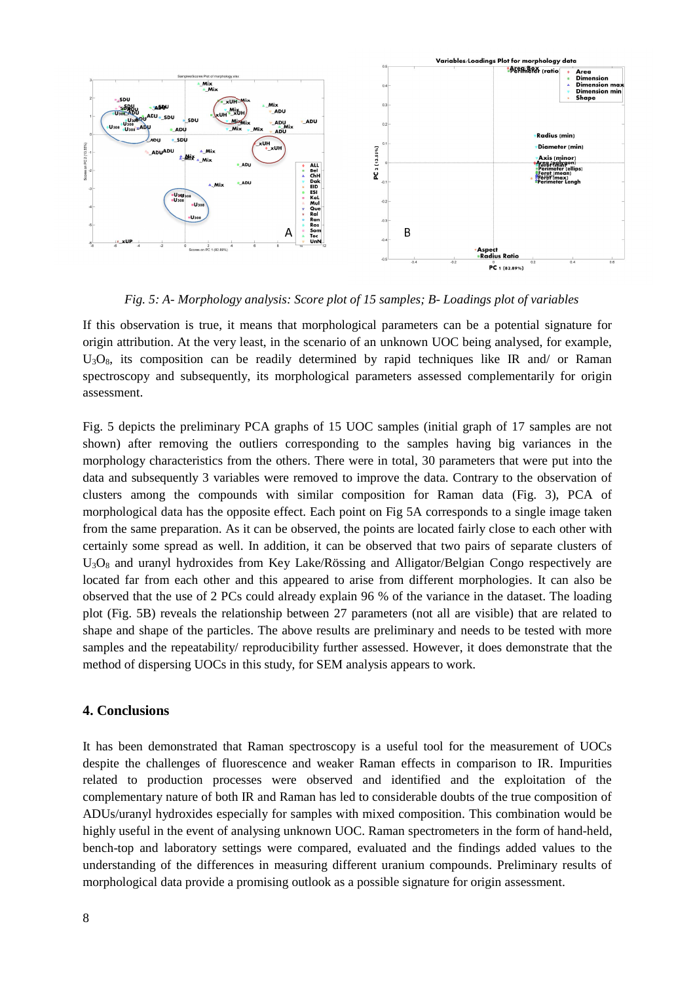

*Fig. 5: A- Morphology analysis: Score plot of 15 samples; B- Loadings plot of variables* 

If this observation is true, it means that morphological parameters can be a potential signature for origin attribution. At the very least, in the scenario of an unknown UOC being analysed, for example,  $U_3O_8$ , its composition can be readily determined by rapid techniques like IR and/ or Raman spectroscopy and subsequently, its morphological parameters assessed complementarily for origin assessment.

Fig. 5 depicts the preliminary PCA graphs of 15 UOC samples (initial graph of 17 samples are not shown) after removing the outliers corresponding to the samples having big variances in the morphology characteristics from the others. There were in total, 30 parameters that were put into the data and subsequently 3 variables were removed to improve the data. Contrary to the observation of clusters among the compounds with similar composition for Raman data (Fig. 3), PCA of morphological data has the opposite effect. Each point on Fig 5A corresponds to a single image taken from the same preparation. As it can be observed, the points are located fairly close to each other with certainly some spread as well. In addition, it can be observed that two pairs of separate clusters of  $U_3O_8$  and uranyl hydroxides from Key Lake/Rössing and Alligator/Belgian Congo respectively are located far from each other and this appeared to arise from different morphologies. It can also be observed that the use of 2 PCs could already explain 96 % of the variance in the dataset. The loading plot (Fig. 5B) reveals the relationship between 27 parameters (not all are visible) that are related to shape and shape of the particles. The above results are preliminary and needs to be tested with more samples and the repeatability/ reproducibility further assessed. However, it does demonstrate that the method of dispersing UOCs in this study, for SEM analysis appears to work.

## **4. Conclusions**

J It has been demonstrated that Raman spectroscopy is a useful tool for the measurement of UOCs despite the challenges of fluorescence and weaker Raman effects in comparison to IR. Impurities related to production processes were observed and identified and the exploitation of the complementary nature of both IR and Raman has led to considerable doubts of the true composition of ADUs/uranyl hydroxides especially for samples with mixed composition. This combination would be highly useful in the event of analysing unknown UOC. Raman spectrometers in the form of hand-held, bench-top and laboratory settings were compared, evaluated and the findings added values to the understanding of the differences in measuring different uranium compounds. Preliminary results of morphological data provide a promising outlook as a possible signature for origin assessment.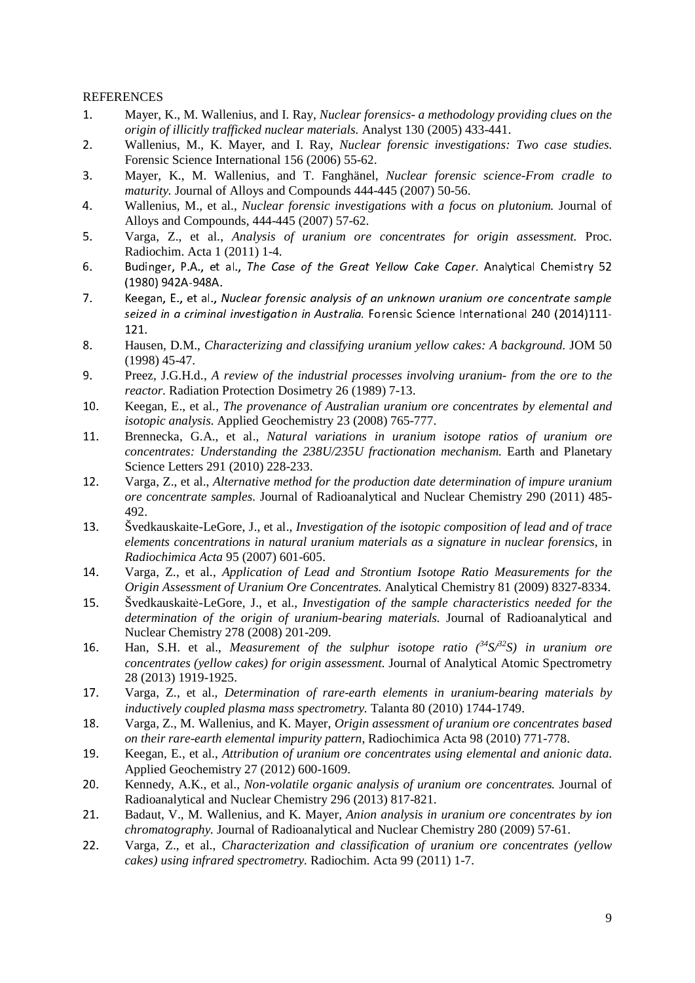## REFERENCES

- 1. Mayer, K., M. Wallenius, and I. Ray, *Nuclear forensics- a methodology providing clues on the origin of illicitly trafficked nuclear materials.* Analyst 130 (2005) 433-441.
- 2. Wallenius, M., K. Mayer, and I. Ray, *Nuclear forensic investigations: Two case studies.* Forensic Science International 156 (2006) 55-62.
- 3. Mayer, K., M. Wallenius, and T. Fanghänel, *Nuclear forensic science-From cradle to maturity.* Journal of Alloys and Compounds 444-445 (2007) 50-56.
- 4. Wallenius, M., et al., *Nuclear forensic investigations with a focus on plutonium.* Journal of Alloys and Compounds, 444-445 (2007) 57-62.
- 5. Varga, Z., et al., *Analysis of uranium ore concentrates for origin assessment.* Proc. Radiochim. Acta 1 (2011) 1-4.
- 6. Budinger, P.A., et al., The Case of the Great Yellow Cake Caper. Analytical Chemistry 52<br>(1980) 942A-948A.
- Keegan, E., et al., Nuclear forensic analysis of an unknown uranium ore concentrate sample 7. Keegan, E., et al., Nuclear forensic analysis of an unknown uranium ore concentrate sample seized in a criminal investigation in Australia. Forensic Science International 240 (2014)111-
- 121. 8. Hausen, D.M., *Characterizing and classifying uranium yellow cakes: A background.* JOM 50 (1998) 45-47.
- 9. Preez, J.G.H.d., *A review of the industrial processes involving uranium- from the ore to the reactor.* Radiation Protection Dosimetry 26 (1989) 7-13.
- 10. Keegan, E., et al., *The provenance of Australian uranium ore concentrates by elemental and isotopic analysis.* Applied Geochemistry 23 (2008) 765-777.
- 11. Brennecka, G.A., et al., *Natural variations in uranium isotope ratios of uranium ore concentrates: Understanding the 238U/235U fractionation mechanism.* Earth and Planetary Science Letters 291 (2010) 228-233.
- 12. Varga, Z., et al., *Alternative method for the production date determination of impure uranium ore concentrate samples.* Journal of Radioanalytical and Nuclear Chemistry 290 (2011) 485- 492.
- 13. Švedkauskaite-LeGore, J., et al., *Investigation of the isotopic composition of lead and of trace elements concentrations in natural uranium materials as a signature in nuclear forensics*, in *Radiochimica Acta* 95 (2007) 601-605.
- 14. Varga, Z., et al., *Application of Lead and Strontium Isotope Ratio Measurements for the Origin Assessment of Uranium Ore Concentrates.* Analytical Chemistry 81 (2009) 8327-8334.
- 15. Švedkauskaitė-LeGore, J., et al., *Investigation of the sample characteristics needed for the determination of the origin of uranium-bearing materials.* Journal of Radioanalytical and Nuclear Chemistry 278 (2008) 201-209.
- 16. Han, S.H. et al., *Measurement of the sulphur isotope ratio*  $\frac{34}{5}S^2S$  *in uranium ore concentrates (yellow cakes) for origin assessment.* Journal of Analytical Atomic Spectrometry <sup>28</sup> (2013) 1919-1925.
- 17. Varga, Z., et al., *Determination of rare-earth elements in uranium-bearing materials by inductively coupled plasma mass spectrometry.* Talanta 80 (2010) 1744-1749.
- 18. Varga, Z., M. Wallenius, and K. Mayer, *Origin assessment of uranium ore concentrates based on their rare-earth elemental impurity pattern*, Radiochimica Acta 98 (2010) 771-778.
- 19. Keegan, E., et al., *Attribution of uranium ore concentrates using elemental and anionic data.* Applied Geochemistry 27 (2012) 600-1609.
- 20. Kennedy, A.K., et al., *Non-volatile organic analysis of uranium ore concentrates.* Journal of Radioanalytical and Nuclear Chemistry 296 (2013) 817-821.
- 21. Badaut, V., M. Wallenius, and K. Mayer, *Anion analysis in uranium ore concentrates by ion chromatography.* Journal of Radioanalytical and Nuclear Chemistry 280 (2009) 57-61.
- 22. Varga, Z., et al., *Characterization and classification of uranium ore concentrates (yellow cakes) using infrared spectrometry.* Radiochim. Acta 99 (2011) 1-7.